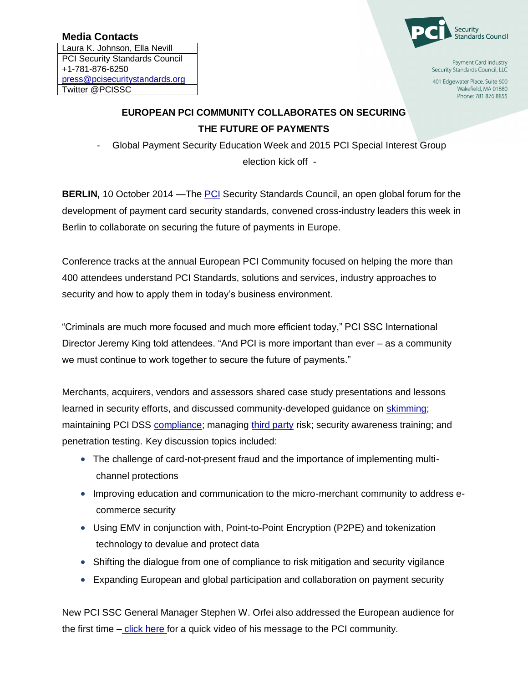## **Media Contacts**

Laura K. Johnson, Ella Nevill PCI Security Standards Council +1-781-876-6250 press@pcisecuritystandards.org Twitter @PCISSC



Payment Card Industry Security Standards Council, LLC

401 Edgewater Place, Suite 600 Wakefield, MA 01880 Phone: 781 876 8855

## **EUROPEAN PCI COMMUNITY COLLABORATES ON SECURING THE FUTURE OF PAYMENTS**

- Global Payment Security Education Week and 2015 PCI Special Interest Group election kick off -

**BERLIN,** 10 October 2014 —The [PCI](https://www.pcisecuritystandards.org/) Security Standards Council, an open global forum for the development of payment card security standards, convened cross-industry leaders this week in Berlin to collaborate on securing the future of payments in Europe.

Conference tracks at the annual European PCI Community focused on helping the more than 400 attendees understand PCI Standards, solutions and services, industry approaches to security and how to apply them in today's business environment.

"Criminals are much more focused and much more efficient today," PCI SSC International Director Jeremy King told attendees. "And PCI is more important than ever – as a community we must continue to work together to secure the future of payments."

Merchants, acquirers, vendors and assessors shared case study presentations and lessons learned in security efforts, and discussed community-developed guidance on [skimming;](https://www.pcisecuritystandards.org/pdfs/14_09_10_Skimming%20Guidance%20Press%20Release.pdf) maintaining PCI DSS [compliance;](https://www.pcisecuritystandards.org/pdfs/14_08_28_Maintaining_PCI_DSS_Compliance_SIG_Press_Release.pdf) managing [third party](https://www.pcisecuritystandards.org/pdfs/14_08_07_Third-Party_Security_Assurance_SIG_Guidance_Press_Release.pdf) risk; security awareness training; and penetration testing. Key discussion topics included:

- The challenge of card-not-present fraud and the importance of implementing multichannel protections
- Improving education and communication to the micro-merchant community to address ecommerce security
- Using EMV in conjunction with, Point-to-Point Encryption (P2PE) and tokenization technology to devalue and protect data
- Shifting the dialogue from one of compliance to risk mitigation and security vigilance
- Expanding European and global participation and collaboration on payment security

New PCI SSC General Manager Stephen W. Orfei also addressed the European audience for the first time – [click here f](http://youtu.be/pDHP2QfkGII)or a quick video of his message to the PCI community.